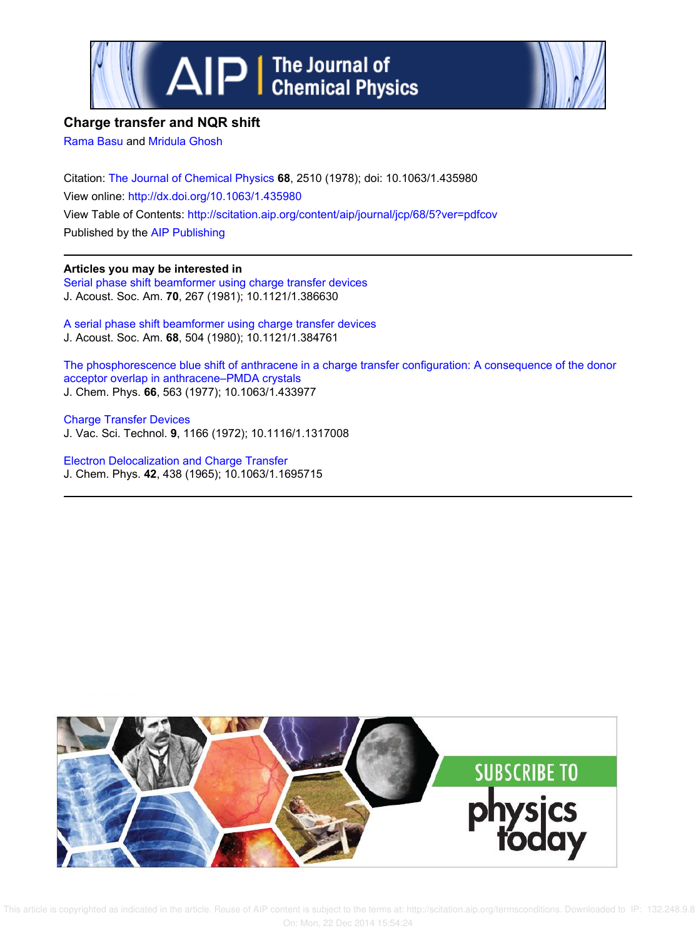



## **Charge transfer and NQR shift**

Rama Basu and Mridula Ghosh

Citation: The Journal of Chemical Physics **68**, 2510 (1978); doi: 10.1063/1.435980 View online: http://dx.doi.org/10.1063/1.435980 View Table of Contents: http://scitation.aip.org/content/aip/journal/jcp/68/5?ver=pdfcov Published by the AIP Publishing

## **Articles you may be interested in**

Serial phase shift beamformer using charge transfer devices J. Acoust. Soc. Am. **70**, 267 (1981); 10.1121/1.386630

A serial phase shift beamformer using charge transfer devices J. Acoust. Soc. Am. **68**, 504 (1980); 10.1121/1.384761

The phosphorescence blue shift of anthracene in a charge transfer configuration: A consequence of the donor acceptor overlap in anthracene–PMDA crystals J. Chem. Phys. **66**, 563 (1977); 10.1063/1.433977

Charge Transfer Devices J. Vac. Sci. Technol. **9**, 1166 (1972); 10.1116/1.1317008

Electron Delocalization and Charge Transfer J. Chem. Phys. **42**, 438 (1965); 10.1063/1.1695715

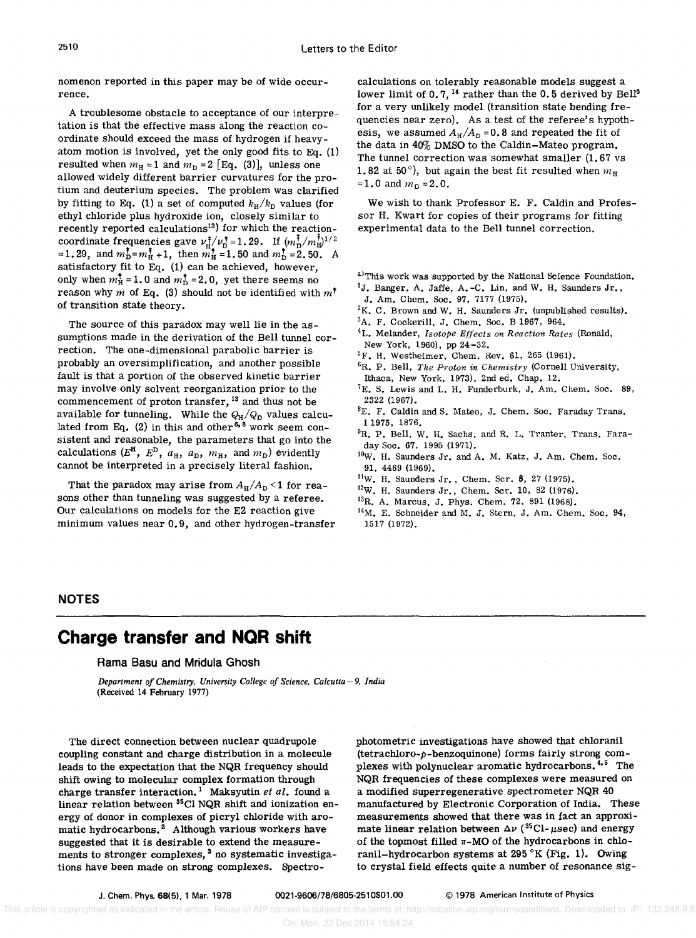nomenon reported in this paper may be of wide occurrence.

A troublesome obstacle to acceptance of Our interpretation is that the effective mass along the reaction coordinate should exceed the mass of hydrogen if heavyatom motion is involved, yet the only good fits to Eq. (1) resulted when  $m_H = 1$  and  $m_D = 2$  [Eq. (3)], unless one allowed widely different barrier curvatures for the protium and deuterium species. The problem was clarified by fitting to Eq. (1) a set of computed  $k_H/k_D$  values (for ethyl chloride plus hydroxide ion, closely similar to recently reported calculations<sup>12</sup>) for which the reactioncoordinate frequencies gave  $\nu_{\text{H}}^{\dagger}/\nu_{\text{D}}^{\dagger}$  = 1.29. If  $=1.29$ , and  $m_{\text{D}}^{\text{T}} = m_{\text{H}}^{\text{T}} + 1$ , then  $m_{\text{H}}^{\text{T}} = 1.50$  and  $m_{\text{D}}^{\text{T}} = 2.50$ . A satisfactory fit to Eq. (1) can be achieved, however, only when  $m_{\text{H}}^{\dagger}$  = 1.0 and  $m_{\text{D}}^{\dagger}$  = 2.0, yet there seems no reason why m of Eq. (3) should not be identified with  $m^{\dagger}$ of transition state theory.

The source of this paradox may well lie in the assumptions made in the derivation of the Bell tunnel correction. The one-dimensional parabolic barrier is probably an oversimplification, and another possible fault is that a portion of the observed kinetic barrier may involve only solvent reorganization prior to the commencement of proton transfer, <sup>13</sup> and thus not be available for tunneling. While the  $Q_H/Q_D$  values calculated from Eq. (2) in this and other  $6, 8$  work seem consistent and reasonable, the parameters that go into the calculations  $(E^H, E^D, a_H, a_D, m_H,$  and  $m_D)$  evidently cannot be interpreted in a precisely literal fashion.

That the paradox may arise from  $A_H/A_D < 1$  for reasons other than tunneling was suggested by a referee. Our calculations on models for the E2 reaction give minimum values near 0.9, and other hydrogen-transfer

calculations on tolerably reasonable models suggest a lower limit of 0.7, <sup>14</sup> rather than the 0.5 derived by Bell<sup>6</sup> for a very unlikely model (transition state bending frequencies near zero). As a test of the referee's hypothesis, we assumed  $A_H/A_D = 0.8$  and repeated the fit of the data in 40% DMSO to the Caldin-Mateo program. The tunnel correction was somewhat smaller (1. 67 vs 1.82 at 50 $^{\circ}$ ), but again the best fit resulted when  $m_{\rm H}$ =1.0 and  $m_{\rm D} = 2.0$ .

We wish to thank Professor E. F. Caldin and Professor H. Kwart for copies of their programs for fitting experimental data to the Bell tunnel correction.

- a)This work was supported by the National Science Foundation.  $1J.$  Banger, A. Jaffe, A.-C. Lin, and W. H. Saunders Jr.,
- J. Am. Chern. Soc. 97, 7177 (1975).
- 2K. C. Brown and W. H. Saunders Jr. (unpublished results).
- <sup>3</sup>A. F. Cockerill, J. Chem. Soc. B 1967, 964.
- 4L. Melander, *Isotope Effects on Reaction Rates* (Ronald, New York, 1960), pp 24-32.
- ${}^{5}F$ . H. Westheimer, Chem. Rev. 61, 265 (1961).
- 6R. P. Bell, *The Proton in Chemistry* (Cornell University, Ithaca, New York, 1973), 2nd ed. Chap. 12.
- ${}^{7}E$ . S. Lewis and L. H. Funderburk, J. Am. Chem. Soc. 89, 2322 (1967).
- ${}^{8}E$ . F. Caldin and S. Mateo, J. Chem. Soc. Faraday Trans. I 1975, 1876.
- <sup>9</sup>R. P. Bell, W. H. Sachs, and R. L. Tranter, Trans. Faraday Soc. 67, 1995 (1971).
- 10W. H. Saunders Jr. and A. M. Katz, J. Am. Chem. Soc. 91, 4469 (1969).
- <sup>11</sup>W. H. Saunders Jr., Chem. Scr. 8, 27 (1975).
- <sup>12</sup>W. H. Saunders Jr., Chem. Scr. 10, 82 (1976).
- <sup>13</sup>R. A. Marcus, J. Phys. Chem. 72, 891 (1968).
- $14M$ . E. Schneider and M. J. Stern, J. Am. Chem. Soc. 94, 1517 (1972).

### **NOTES**

# **Charge transfer and NQR shift**

#### Rama Basu and Mridula Ghosh

*Department of Chemistry, University College of Science, Calcutta - 9, India* (Received 14 February 1977)

The direct connection between nuclear quadrupole coupling constant and charge distribution in a molecule leads to the expectation that the NQR frequency should shift owing to molecular complex formation through charge transfer interaction.<sup>1</sup> Maksyutin et al. found a linear relation between <sup>3</sup> 5CI NQR shift and ionization energy of donor in complexes of picryl chloride with aromatic hydrocarbons.<sup>2</sup> Although various workers have suggested that it is desirable to extend the measurements to stronger complexes,<sup>3</sup> no systematic investigations have been made on strong complexes. Spectrophotometric investigations have showed that chloranil (tetrachloro-p-benzoquinone) forms fairly strong complexes with polynuclear aromatic hydrocarbons. 4,5 The NQR frequencies of these complexes were measured on a modified superregenerative spectrometer NQR 40 manufactured by Electronic Corporation of India. These measurements showed that there was in fact an approximate linear relation between  $\Delta \nu$  (<sup>35</sup>Cl- $\mu$ sec) and energy of the topmost filled  $\pi$ -MO of the hydrocarbons in chloranil-hydrocarbon systems at 295 $\,^{\circ}$ K (Fig. 1). Owing to crystal field effects quite a number of resonance sig-

J. Chern. Phys. 68(5). 1 Mar. 1978 0021-9606/78/6805-2510\$01.00 © 1978 American I nstitute of Physics

 This article is copyrighted as indicated in the article. Reuse of AIP content is subject to the terms at: http://scitation.aip.org/termsconditions. Downloaded to IP: 132.248.9.8 On: Mon, 22 Dec 2014 15:54:24